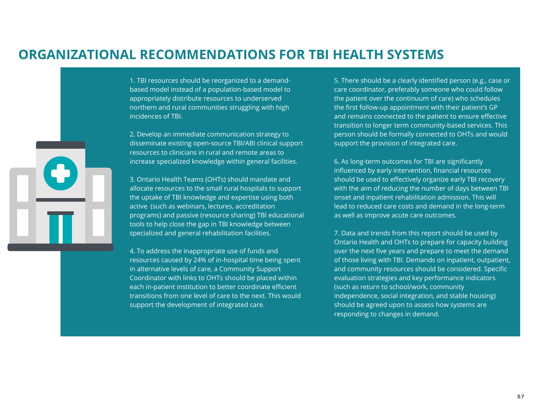1. TBI resources should be reorganized to a demandbased model instead of a population-based model to appropriately distribute resources to underserved northern and rural communities struggling with high incidences of TBI.

3. Ontario Health Teams (OHTs) should mandate and allocate resources to the small rural hospitals to support the uptake of TBI knowledge and expertise using both active (such as webinars, lectures, accreditation programs) and passive (resource sharing) TBI educational tools to help close the gap in TBI knowledge between specialized and general rehabilitation facilities.

2. Develop an immediate communication strategy to disseminate existing open-source TBI/ABI clinical support resources to clinicians in rural and remote areas to increase specialized knowledge within general facilities.

4. To address the inappropriate use of funds and resources caused by 24% of in-hospital time being spent in alternative levels of care, a Community Support Coordinator with links to OHTs should be placed within each in-patient institution to better coordinate efficient transitions from one level of care to the next. This would support the development of integrated care.

## **ORGANIZATIONAL RECOMMENDATIONS FOR TBI HEALTH SYSTEMS**



5. There should be a clearly identified person (e.g., case or care coordinator, preferably someone who could follow the patient over the continuum of care) who schedules the first follow-up appointment with their patient's GP and remains connected to the patient to ensure effective transition to longer term community-based services. This person should be formally connected to OHTs and would support the provision of integrated care.

6. As long-term outcomes for TBI are significantly influenced by early intervention, financial resources should be used to effectively organize early TBI recovery with the aim of reducing the number of days between TBI onset and inpatient rehabilitation admission. This will lead to reduced care costs and demand in the long-term as well as improve acute care outcomes.

7. Data and trends from this report should be used by Ontario Health and OHTs to prepare for capacity building over the next five years and prepare to meet the demand of those living with TBI. Demands on inpatient, outpatient, and community resources should be considered. Specific evaluation strategies and key performance indicators (such as return to school/work, community independence, social integration, and stable housing) should be agreed upon to assess how systems are responding to changes in demand.